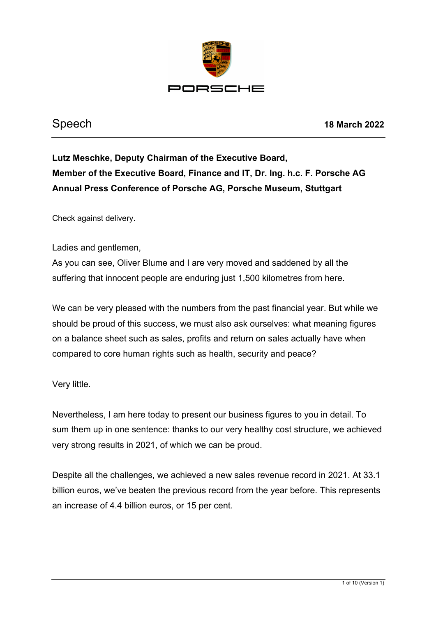

Speech **18 March 2022**

**Lutz Meschke, Deputy Chairman of the Executive Board, Member of the Executive Board, Finance and IT, Dr. Ing. h.c. F. Porsche AG Annual Press Conference of Porsche AG, Porsche Museum, Stuttgart**

Check against delivery.

Ladies and gentlemen,

As you can see, Oliver Blume and I are very moved and saddened by all the suffering that innocent people are enduring just 1,500 kilometres from here.

We can be very pleased with the numbers from the past financial year. But while we should be proud of this success, we must also ask ourselves: what meaning figures on a balance sheet such as sales, profits and return on sales actually have when compared to core human rights such as health, security and peace?

Very little.

Nevertheless, I am here today to present our business figures to you in detail. To sum them up in one sentence: thanks to our very healthy cost structure, we achieved very strong results in 2021, of which we can be proud.

Despite all the challenges, we achieved a new sales revenue record in 2021. At 33.1 billion euros, we've beaten the previous record from the year before. This represents an increase of 4.4 billion euros, or 15 per cent.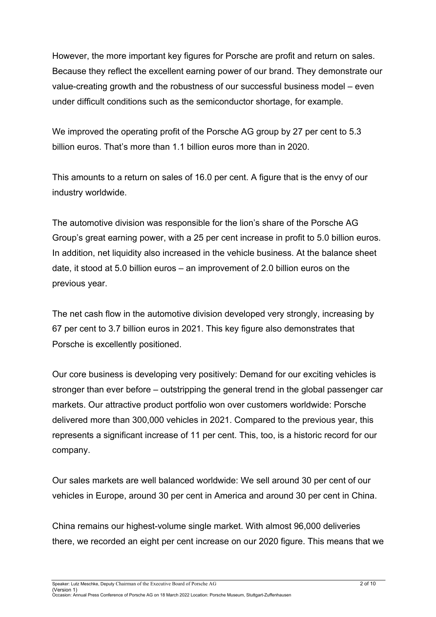However, the more important key figures for Porsche are profit and return on sales. Because they reflect the excellent earning power of our brand. They demonstrate our value-creating growth and the robustness of our successful business model – even under difficult conditions such as the semiconductor shortage, for example.

We improved the operating profit of the Porsche AG group by 27 per cent to 5.3 billion euros. That's more than 1.1 billion euros more than in 2020.

This amounts to a return on sales of 16.0 per cent. A figure that is the envy of our industry worldwide.

The automotive division was responsible for the lion's share of the Porsche AG Group's great earning power, with a 25 per cent increase in profit to 5.0 billion euros. In addition, net liquidity also increased in the vehicle business. At the balance sheet date, it stood at 5.0 billion euros – an improvement of 2.0 billion euros on the previous year.

The net cash flow in the automotive division developed very strongly, increasing by 67 per cent to 3.7 billion euros in 2021. This key figure also demonstrates that Porsche is excellently positioned.

Our core business is developing very positively: Demand for our exciting vehicles is stronger than ever before – outstripping the general trend in the global passenger car markets. Our attractive product portfolio won over customers worldwide: Porsche delivered more than 300,000 vehicles in 2021. Compared to the previous year, this represents a significant increase of 11 per cent. This, too, is a historic record for our company.

Our sales markets are well balanced worldwide: We sell around 30 per cent of our vehicles in Europe, around 30 per cent in America and around 30 per cent in China.

China remains our highest-volume single market. With almost 96,000 deliveries there, we recorded an eight per cent increase on our 2020 figure. This means that we

Speaker: Lutz Meschke, Deputy Chairman of the Executive Board of Porsche AG 2 of 10

(Version 1) Occasion: Annual Press Conference of Porsche AG on 18 March 2022 Location: Porsche Museum, Stuttgart-Zuffenhausen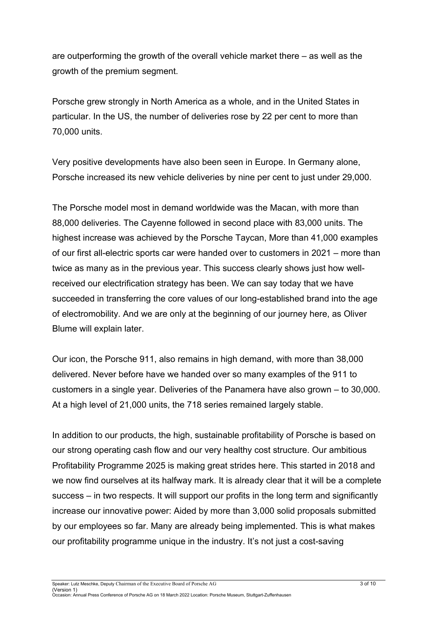are outperforming the growth of the overall vehicle market there – as well as the growth of the premium segment.

Porsche grew strongly in North America as a whole, and in the United States in particular. In the US, the number of deliveries rose by 22 per cent to more than 70,000 units.

Very positive developments have also been seen in Europe. In Germany alone, Porsche increased its new vehicle deliveries by nine per cent to just under 29,000.

The Porsche model most in demand worldwide was the Macan, with more than 88,000 deliveries. The Cayenne followed in second place with 83,000 units. The highest increase was achieved by the Porsche Taycan, More than 41,000 examples of our first all-electric sports car were handed over to customers in 2021 – more than twice as many as in the previous year. This success clearly shows just how wellreceived our electrification strategy has been. We can say today that we have succeeded in transferring the core values of our long-established brand into the age of electromobility. And we are only at the beginning of our journey here, as Oliver Blume will explain later.

Our icon, the Porsche 911, also remains in high demand, with more than 38,000 delivered. Never before have we handed over so many examples of the 911 to customers in a single year. Deliveries of the Panamera have also grown – to 30,000. At a high level of 21,000 units, the 718 series remained largely stable.

In addition to our products, the high, sustainable profitability of Porsche is based on our strong operating cash flow and our very healthy cost structure. Our ambitious Profitability Programme 2025 is making great strides here. This started in 2018 and we now find ourselves at its halfway mark. It is already clear that it will be a complete success – in two respects. It will support our profits in the long term and significantly increase our innovative power: Aided by more than 3,000 solid proposals submitted by our employees so far. Many are already being implemented. This is what makes our profitability programme unique in the industry. It's not just a cost-saving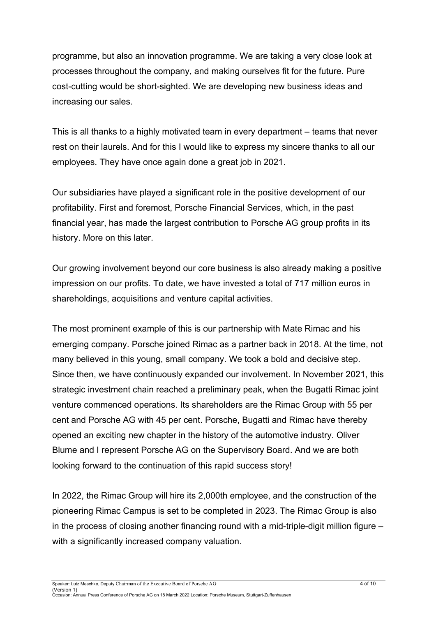programme, but also an innovation programme. We are taking a very close look at processes throughout the company, and making ourselves fit for the future. Pure cost-cutting would be short-sighted. We are developing new business ideas and increasing our sales.

This is all thanks to a highly motivated team in every department – teams that never rest on their laurels. And for this I would like to express my sincere thanks to all our employees. They have once again done a great job in 2021.

Our subsidiaries have played a significant role in the positive development of our profitability. First and foremost, Porsche Financial Services, which, in the past financial year, has made the largest contribution to Porsche AG group profits in its history. More on this later.

Our growing involvement beyond our core business is also already making a positive impression on our profits. To date, we have invested a total of 717 million euros in shareholdings, acquisitions and venture capital activities.

The most prominent example of this is our partnership with Mate Rimac and his emerging company. Porsche joined Rimac as a partner back in 2018. At the time, not many believed in this young, small company. We took a bold and decisive step. Since then, we have continuously expanded our involvement. In November 2021, this strategic investment chain reached a preliminary peak, when the Bugatti Rimac joint venture commenced operations. Its shareholders are the Rimac Group with 55 per cent and Porsche AG with 45 per cent. Porsche, Bugatti and Rimac have thereby opened an exciting new chapter in the history of the automotive industry. Oliver Blume and I represent Porsche AG on the Supervisory Board. And we are both looking forward to the continuation of this rapid success story!

In 2022, the Rimac Group will hire its 2,000th employee, and the construction of the pioneering Rimac Campus is set to be completed in 2023. The Rimac Group is also in the process of closing another financing round with a mid-triple-digit million figure  $$ with a significantly increased company valuation.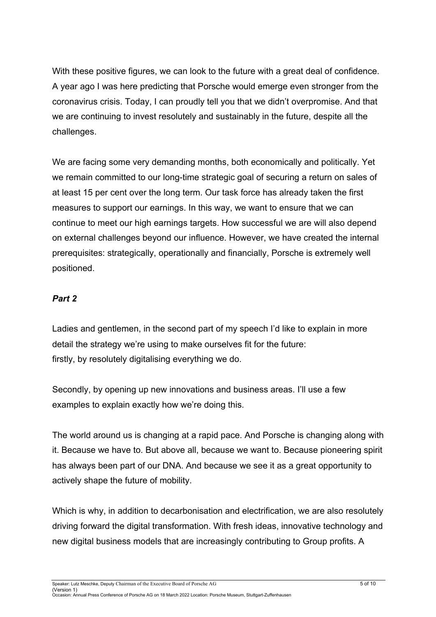With these positive figures, we can look to the future with a great deal of confidence. A year ago I was here predicting that Porsche would emerge even stronger from the coronavirus crisis. Today, I can proudly tell you that we didn't overpromise. And that we are continuing to invest resolutely and sustainably in the future, despite all the challenges.

We are facing some very demanding months, both economically and politically. Yet we remain committed to our long-time strategic goal of securing a return on sales of at least 15 per cent over the long term. Our task force has already taken the first measures to support our earnings. In this way, we want to ensure that we can continue to meet our high earnings targets. How successful we are will also depend on external challenges beyond our influence. However, we have created the internal prerequisites: strategically, operationally and financially, Porsche is extremely well positioned.

## *Part 2*

Ladies and gentlemen, in the second part of my speech I'd like to explain in more detail the strategy we're using to make ourselves fit for the future: firstly, by resolutely digitalising everything we do.

Secondly, by opening up new innovations and business areas. I'll use a few examples to explain exactly how we're doing this.

The world around us is changing at a rapid pace. And Porsche is changing along with it. Because we have to. But above all, because we want to. Because pioneering spirit has always been part of our DNA. And because we see it as a great opportunity to actively shape the future of mobility.

Which is why, in addition to decarbonisation and electrification, we are also resolutely driving forward the digital transformation. With fresh ideas, innovative technology and new digital business models that are increasingly contributing to Group profits. A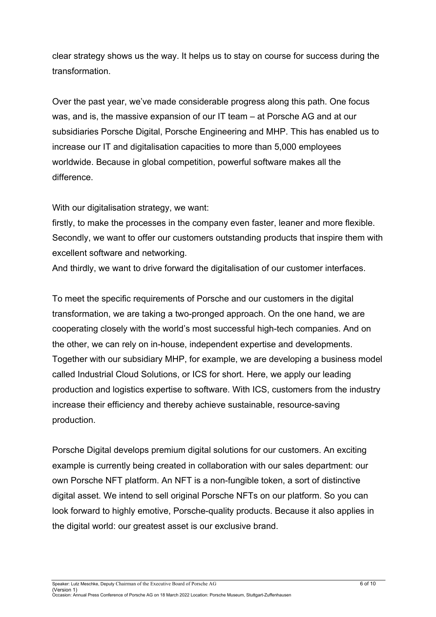clear strategy shows us the way. It helps us to stay on course for success during the transformation.

Over the past year, we've made considerable progress along this path. One focus was, and is, the massive expansion of our IT team – at Porsche AG and at our subsidiaries Porsche Digital, Porsche Engineering and MHP. This has enabled us to increase our IT and digitalisation capacities to more than 5,000 employees worldwide. Because in global competition, powerful software makes all the difference.

With our digitalisation strategy, we want:

firstly, to make the processes in the company even faster, leaner and more flexible. Secondly, we want to offer our customers outstanding products that inspire them with excellent software and networking.

And thirdly, we want to drive forward the digitalisation of our customer interfaces.

To meet the specific requirements of Porsche and our customers in the digital transformation, we are taking a two-pronged approach. On the one hand, we are cooperating closely with the world's most successful high-tech companies. And on the other, we can rely on in-house, independent expertise and developments. Together with our subsidiary MHP, for example, we are developing a business model called Industrial Cloud Solutions, or ICS for short. Here, we apply our leading production and logistics expertise to software. With ICS, customers from the industry increase their efficiency and thereby achieve sustainable, resource-saving production.

Porsche Digital develops premium digital solutions for our customers. An exciting example is currently being created in collaboration with our sales department: our own Porsche NFT platform. An NFT is a non-fungible token, a sort of distinctive digital asset. We intend to sell original Porsche NFTs on our platform. So you can look forward to highly emotive, Porsche-quality products. Because it also applies in the digital world: our greatest asset is our exclusive brand.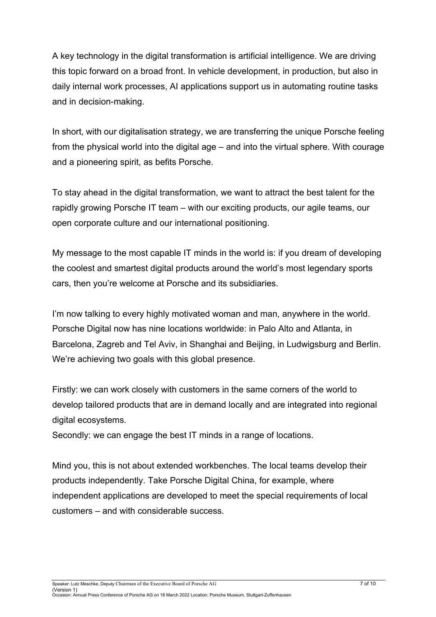A key technology in the digital transformation is artificial intelligence. We are driving this topic forward on a broad front. In vehicle development, in production, but also in daily internal work processes, AI applications support us in automating routine tasks and in decision-making.

In short, with our digitalisation strategy, we are transferring the unique Porsche feeling from the physical world into the digital age – and into the virtual sphere. With courage and a pioneering spirit, as befits Porsche.

To stay ahead in the digital transformation, we want to attract the best talent for the rapidly growing Porsche IT team – with our exciting products, our agile teams, our open corporate culture and our international positioning.

My message to the most capable IT minds in the world is: if you dream of developing the coolest and smartest digital products around the world's most legendary sports cars, then you're welcome at Porsche and its subsidiaries.

I'm now talking to every highly motivated woman and man, anywhere in the world. Porsche Digital now has nine locations worldwide: in Palo Alto and Atlanta, in Barcelona, Zagreb and Tel Aviv, in Shanghai and Beijing, in Ludwigsburg and Berlin. We're achieving two goals with this global presence.

Firstly: we can work closely with customers in the same corners of the world to develop tailored products that are in demand locally and are integrated into regional digital ecosystems.

Secondly: we can engage the best IT minds in a range of locations.

Mind you, this is not about extended workbenches. The local teams develop their products independently. Take Porsche Digital China, for example, where independent applications are developed to meet the special requirements of local customers – and with considerable success.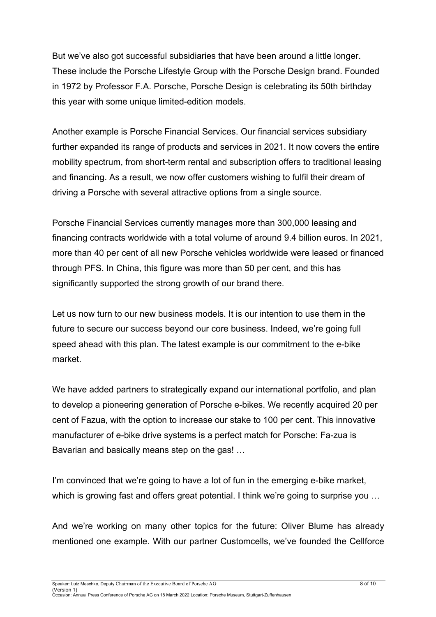But we've also got successful subsidiaries that have been around a little longer. These include the Porsche Lifestyle Group with the Porsche Design brand. Founded in 1972 by Professor F.A. Porsche, Porsche Design is celebrating its 50th birthday this year with some unique limited-edition models.

Another example is Porsche Financial Services. Our financial services subsidiary further expanded its range of products and services in 2021. It now covers the entire mobility spectrum, from short-term rental and subscription offers to traditional leasing and financing. As a result, we now offer customers wishing to fulfil their dream of driving a Porsche with several attractive options from a single source.

Porsche Financial Services currently manages more than 300,000 leasing and financing contracts worldwide with a total volume of around 9.4 billion euros. In 2021, more than 40 per cent of all new Porsche vehicles worldwide were leased or financed through PFS. In China, this figure was more than 50 per cent, and this has significantly supported the strong growth of our brand there.

Let us now turn to our new business models. It is our intention to use them in the future to secure our success beyond our core business. Indeed, we're going full speed ahead with this plan. The latest example is our commitment to the e-bike market.

We have added partners to strategically expand our international portfolio, and plan to develop a pioneering generation of Porsche e-bikes. We recently acquired 20 per cent of Fazua, with the option to increase our stake to 100 per cent. This innovative manufacturer of e-bike drive systems is a perfect match for Porsche: Fa-zua is Bavarian and basically means step on the gas! …

I'm convinced that we're going to have a lot of fun in the emerging e-bike market, which is growing fast and offers great potential. I think we're going to surprise you ...

And we're working on many other topics for the future: Oliver Blume has already mentioned one example. With our partner Customcells, we've founded the Cellforce

Speaker: Lutz Meschke, Deputy Chairman of the Executive Board of Porsche AG 8 of 10

(Version 1) Occasion: Annual Press Conference of Porsche AG on 18 March 2022 Location: Porsche Museum, Stuttgart-Zuffenhausen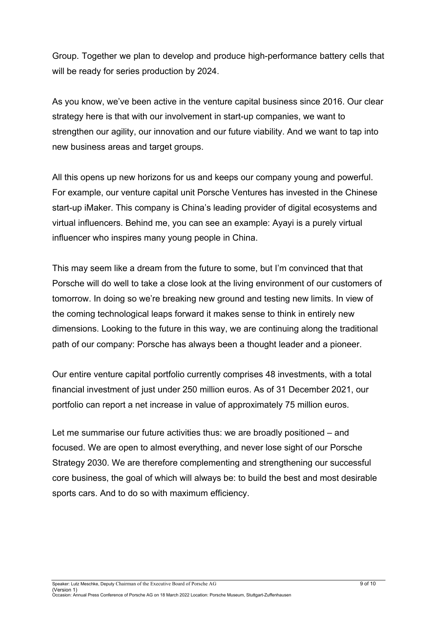Group. Together we plan to develop and produce high-performance battery cells that will be ready for series production by 2024.

As you know, we've been active in the venture capital business since 2016. Our clear strategy here is that with our involvement in start-up companies, we want to strengthen our agility, our innovation and our future viability. And we want to tap into new business areas and target groups.

All this opens up new horizons for us and keeps our company young and powerful. For example, our venture capital unit Porsche Ventures has invested in the Chinese start-up iMaker. This company is China's leading provider of digital ecosystems and virtual influencers. Behind me, you can see an example: Ayayi is a purely virtual influencer who inspires many young people in China.

This may seem like a dream from the future to some, but I'm convinced that that Porsche will do well to take a close look at the living environment of our customers of tomorrow. In doing so we're breaking new ground and testing new limits. In view of the coming technological leaps forward it makes sense to think in entirely new dimensions. Looking to the future in this way, we are continuing along the traditional path of our company: Porsche has always been a thought leader and a pioneer.

Our entire venture capital portfolio currently comprises 48 investments, with a total financial investment of just under 250 million euros. As of 31 December 2021, our portfolio can report a net increase in value of approximately 75 million euros.

Let me summarise our future activities thus: we are broadly positioned – and focused. We are open to almost everything, and never lose sight of our Porsche Strategy 2030. We are therefore complementing and strengthening our successful core business, the goal of which will always be: to build the best and most desirable sports cars. And to do so with maximum efficiency.